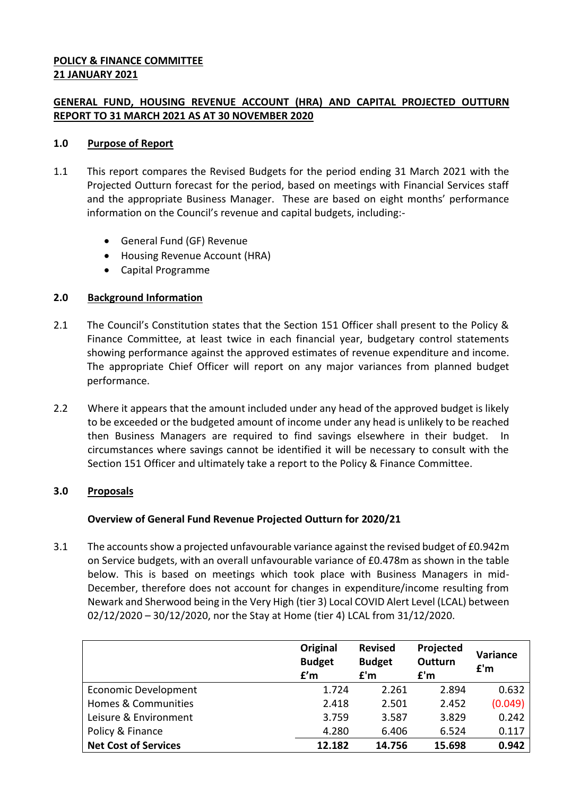## **POLICY & FINANCE COMMITTEE 21 JANUARY 2021**

# **GENERAL FUND, HOUSING REVENUE ACCOUNT (HRA) AND CAPITAL PROJECTED OUTTURN REPORT TO 31 MARCH 2021 AS AT 30 NOVEMBER 2020**

## **1.0 Purpose of Report**

- 1.1 This report compares the Revised Budgets for the period ending 31 March 2021 with the Projected Outturn forecast for the period, based on meetings with Financial Services staff and the appropriate Business Manager. These are based on eight months' performance information on the Council's revenue and capital budgets, including:-
	- General Fund (GF) Revenue
	- Housing Revenue Account (HRA)
	- Capital Programme

### **2.0 Background Information**

- 2.1 The Council's Constitution states that the Section 151 Officer shall present to the Policy & Finance Committee, at least twice in each financial year, budgetary control statements showing performance against the approved estimates of revenue expenditure and income. The appropriate Chief Officer will report on any major variances from planned budget performance.
- 2.2 Where it appears that the amount included under any head of the approved budget is likely to be exceeded or the budgeted amount of income under any head is unlikely to be reached then Business Managers are required to find savings elsewhere in their budget. In circumstances where savings cannot be identified it will be necessary to consult with the Section 151 Officer and ultimately take a report to the Policy & Finance Committee.

## **3.0 Proposals**

## **Overview of General Fund Revenue Projected Outturn for 2020/21**

3.1 The accounts show a projected unfavourable variance against the revised budget of £0.942m on Service budgets, with an overall unfavourable variance of £0.478m as shown in the table below. This is based on meetings which took place with Business Managers in mid-December, therefore does not account for changes in expenditure/income resulting from Newark and Sherwood being in the Very High (tier 3) Local COVID Alert Level (LCAL) between 02/12/2020 – 30/12/2020, nor the Stay at Home (tier 4) LCAL from 31/12/2020.

|                             | Original<br><b>Budget</b><br>f'm | <b>Revised</b><br><b>Budget</b><br>f'm | Projected<br>Outturn<br>f'm | Variance<br>f'm |
|-----------------------------|----------------------------------|----------------------------------------|-----------------------------|-----------------|
| Economic Development        | 1.724                            | 2.261                                  | 2.894                       | 0.632           |
| Homes & Communities         | 2.418                            | 2.501                                  | 2.452                       | (0.049)         |
| Leisure & Environment       | 3.759                            | 3.587                                  | 3.829                       | 0.242           |
| Policy & Finance            | 4.280                            | 6.406                                  | 6.524                       | 0.117           |
| <b>Net Cost of Services</b> | 12.182                           | 14.756                                 | 15.698                      | 0.942           |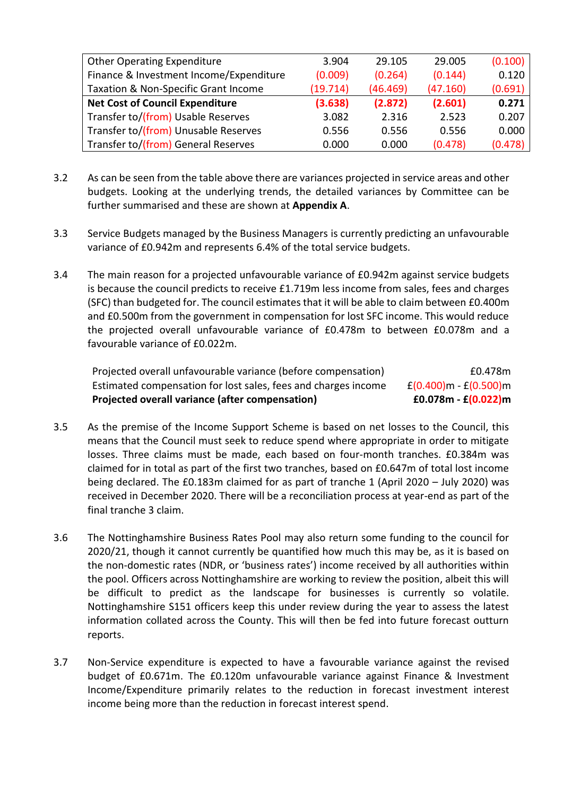| <b>Other Operating Expenditure</b>      | 3.904    | 29.105   | 29.005   | (0.100) |
|-----------------------------------------|----------|----------|----------|---------|
| Finance & Investment Income/Expenditure | (0.009)  | (0.264)  | (0.144)  | 0.120   |
| Taxation & Non-Specific Grant Income    | (19.714) | (46.469) | (47.160) | (0.691) |
| <b>Net Cost of Council Expenditure</b>  | (3.638)  | (2.872)  | (2.601)  | 0.271   |
| Transfer to/(from) Usable Reserves      | 3.082    | 2.316    | 2.523    | 0.207   |
| Transfer to/(from) Unusable Reserves    | 0.556    | 0.556    | 0.556    | 0.000   |
| Transfer to/(from) General Reserves     | 0.000    | 0.000    | (0.478)  | (0.478) |

- 3.2 As can be seen from the table above there are variances projected in service areas and other budgets. Looking at the underlying trends, the detailed variances by Committee can be further summarised and these are shown at **Appendix A**.
- 3.3 Service Budgets managed by the Business Managers is currently predicting an unfavourable variance of £0.942m and represents 6.4% of the total service budgets.
- 3.4 The main reason for a projected unfavourable variance of £0.942m against service budgets is because the council predicts to receive £1.719m less income from sales, fees and charges (SFC) than budgeted for. The council estimates that it will be able to claim between £0.400m and £0.500m from the government in compensation for lost SFC income. This would reduce the projected overall unfavourable variance of £0.478m to between £0.078m and a favourable variance of £0.022m.

| Projected overall variance (after compensation)                | $£0.078m - £(0.022)m$       |
|----------------------------------------------------------------|-----------------------------|
| Estimated compensation for lost sales, fees and charges income | $f(0.400)$ m - $f(0.500)$ m |
| Projected overall unfavourable variance (before compensation)  | £0.478m                     |

- 3.5 As the premise of the Income Support Scheme is based on net losses to the Council, this means that the Council must seek to reduce spend where appropriate in order to mitigate losses. Three claims must be made, each based on four-month tranches. £0.384m was claimed for in total as part of the first two tranches, based on £0.647m of total lost income being declared. The £0.183m claimed for as part of tranche 1 (April 2020 – July 2020) was received in December 2020. There will be a reconciliation process at year-end as part of the final tranche 3 claim.
- 3.6 The Nottinghamshire Business Rates Pool may also return some funding to the council for 2020/21, though it cannot currently be quantified how much this may be, as it is based on the non-domestic rates (NDR, or 'business rates') income received by all authorities within the pool. Officers across Nottinghamshire are working to review the position, albeit this will be difficult to predict as the landscape for businesses is currently so volatile. Nottinghamshire S151 officers keep this under review during the year to assess the latest information collated across the County. This will then be fed into future forecast outturn reports.
- 3.7 Non-Service expenditure is expected to have a favourable variance against the revised budget of £0.671m. The £0.120m unfavourable variance against Finance & Investment Income/Expenditure primarily relates to the reduction in forecast investment interest income being more than the reduction in forecast interest spend.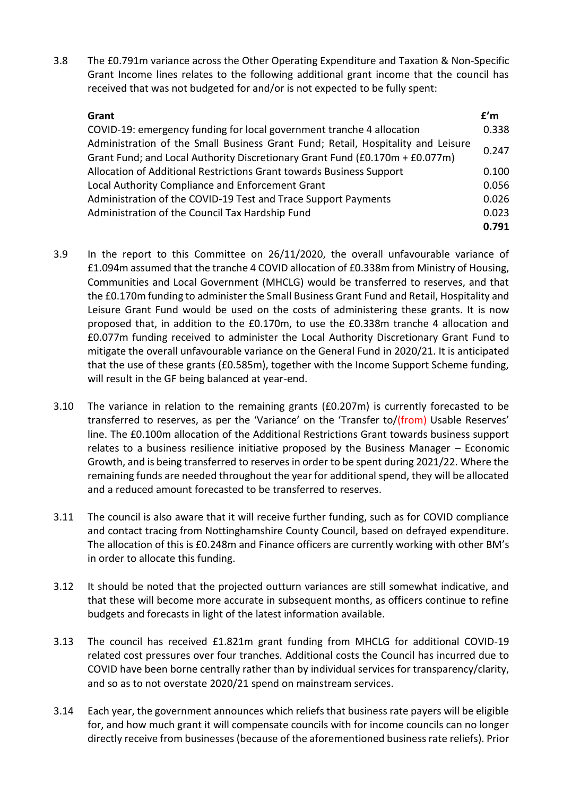3.8 The £0.791m variance across the Other Operating Expenditure and Taxation & Non-Specific Grant Income lines relates to the following additional grant income that the council has received that was not budgeted for and/or is not expected to be fully spent:

| Grant                                                                            | f'm   |
|----------------------------------------------------------------------------------|-------|
| COVID-19: emergency funding for local government tranche 4 allocation            | 0.338 |
| Administration of the Small Business Grant Fund; Retail, Hospitality and Leisure | 0.247 |
| Grant Fund; and Local Authority Discretionary Grant Fund (£0.170m + £0.077m)     |       |
| Allocation of Additional Restrictions Grant towards Business Support             | 0.100 |
| Local Authority Compliance and Enforcement Grant                                 | 0.056 |
| Administration of the COVID-19 Test and Trace Support Payments                   | 0.026 |
| Administration of the Council Tax Hardship Fund                                  | 0.023 |
|                                                                                  | 0.791 |

- 3.9 In the report to this Committee on 26/11/2020, the overall unfavourable variance of £1.094m assumed that the tranche 4 COVID allocation of £0.338m from Ministry of Housing, Communities and Local Government (MHCLG) would be transferred to reserves, and that the £0.170m funding to administer the Small Business Grant Fund and Retail, Hospitality and Leisure Grant Fund would be used on the costs of administering these grants. It is now proposed that, in addition to the £0.170m, to use the £0.338m tranche 4 allocation and £0.077m funding received to administer the Local Authority Discretionary Grant Fund to mitigate the overall unfavourable variance on the General Fund in 2020/21. It is anticipated that the use of these grants (£0.585m), together with the Income Support Scheme funding, will result in the GF being balanced at year-end.
- 3.10 The variance in relation to the remaining grants (£0.207m) is currently forecasted to be transferred to reserves, as per the 'Variance' on the 'Transfer to/(from) Usable Reserves' line. The £0.100m allocation of the Additional Restrictions Grant towards business support relates to a business resilience initiative proposed by the Business Manager – Economic Growth, and is being transferred to reserves in order to be spent during 2021/22. Where the remaining funds are needed throughout the year for additional spend, they will be allocated and a reduced amount forecasted to be transferred to reserves.
- 3.11 The council is also aware that it will receive further funding, such as for COVID compliance and contact tracing from Nottinghamshire County Council, based on defrayed expenditure. The allocation of this is £0.248m and Finance officers are currently working with other BM's in order to allocate this funding.
- 3.12 It should be noted that the projected outturn variances are still somewhat indicative, and that these will become more accurate in subsequent months, as officers continue to refine budgets and forecasts in light of the latest information available.
- 3.13 The council has received £1.821m grant funding from MHCLG for additional COVID-19 related cost pressures over four tranches. Additional costs the Council has incurred due to COVID have been borne centrally rather than by individual services for transparency/clarity, and so as to not overstate 2020/21 spend on mainstream services.
- 3.14 Each year, the government announces which reliefs that business rate payers will be eligible for, and how much grant it will compensate councils with for income councils can no longer directly receive from businesses (because of the aforementioned business rate reliefs). Prior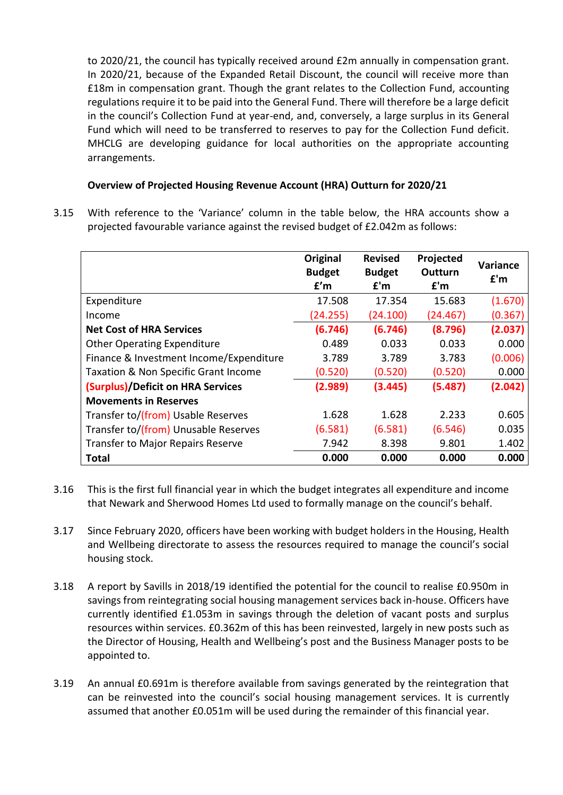to 2020/21, the council has typically received around £2m annually in compensation grant. In 2020/21, because of the Expanded Retail Discount, the council will receive more than £18m in compensation grant. Though the grant relates to the Collection Fund, accounting regulations require it to be paid into the General Fund. There will therefore be a large deficit in the council's Collection Fund at year-end, and, conversely, a large surplus in its General Fund which will need to be transferred to reserves to pay for the Collection Fund deficit. MHCLG are developing guidance for local authorities on the appropriate accounting arrangements.

# **Overview of Projected Housing Revenue Account (HRA) Outturn for 2020/21**

3.15 With reference to the 'Variance' column in the table below, the HRA accounts show a projected favourable variance against the revised budget of £2.042m as follows:

|                                          | Original      | <b>Revised</b> | Projected | Variance |
|------------------------------------------|---------------|----------------|-----------|----------|
|                                          | <b>Budget</b> | <b>Budget</b>  | Outturn   | f'm      |
|                                          | f'm           | f'm            | f'm       |          |
| Expenditure                              | 17.508        | 17.354         | 15.683    | (1.670)  |
| Income                                   | (24.255)      | (24.100)       | (24.467)  | (0.367)  |
| <b>Net Cost of HRA Services</b>          | (6.746)       | (6.746)        | (8.796)   | (2.037)  |
| <b>Other Operating Expenditure</b>       | 0.489         | 0.033          | 0.033     | 0.000    |
| Finance & Investment Income/Expenditure  | 3.789         | 3.789          | 3.783     | (0.006)  |
| Taxation & Non Specific Grant Income     | (0.520)       | (0.520)        | (0.520)   | 0.000    |
| (Surplus)/Deficit on HRA Services        | (2.989)       | (3.445)        | (5.487)   | (2.042)  |
| <b>Movements in Reserves</b>             |               |                |           |          |
| Transfer to/(from) Usable Reserves       | 1.628         | 1.628          | 2.233     | 0.605    |
| Transfer to/(from) Unusable Reserves     | (6.581)       | (6.581)        | (6.546)   | 0.035    |
| <b>Transfer to Major Repairs Reserve</b> | 7.942         | 8.398          | 9.801     | 1.402    |
| Total                                    | 0.000         | 0.000          | 0.000     | 0.000    |

- 3.16 This is the first full financial year in which the budget integrates all expenditure and income that Newark and Sherwood Homes Ltd used to formally manage on the council's behalf.
- 3.17 Since February 2020, officers have been working with budget holders in the Housing, Health and Wellbeing directorate to assess the resources required to manage the council's social housing stock.
- 3.18 A report by Savills in 2018/19 identified the potential for the council to realise £0.950m in savings from reintegrating social housing management services back in-house. Officers have currently identified £1.053m in savings through the deletion of vacant posts and surplus resources within services. £0.362m of this has been reinvested, largely in new posts such as the Director of Housing, Health and Wellbeing's post and the Business Manager posts to be appointed to.
- 3.19 An annual £0.691m is therefore available from savings generated by the reintegration that can be reinvested into the council's social housing management services. It is currently assumed that another £0.051m will be used during the remainder of this financial year.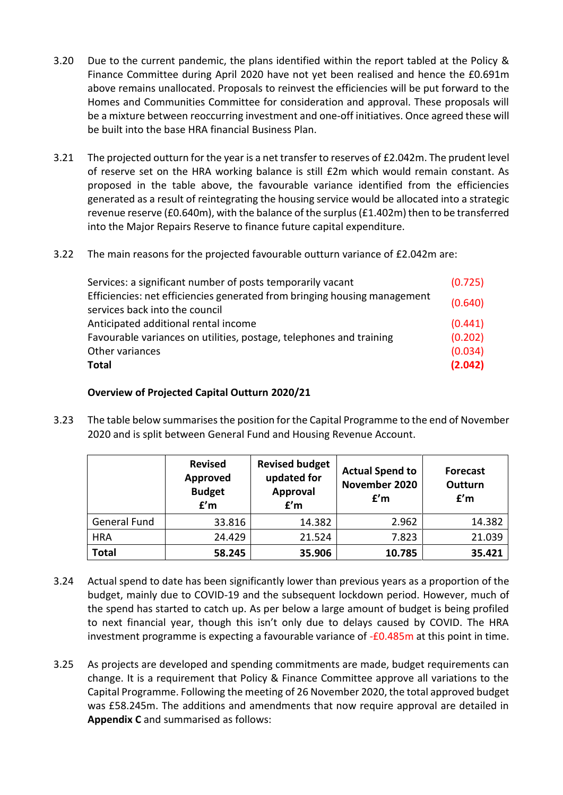- 3.20 Due to the current pandemic, the plans identified within the report tabled at the Policy & Finance Committee during April 2020 have not yet been realised and hence the £0.691m above remains unallocated. Proposals to reinvest the efficiencies will be put forward to the Homes and Communities Committee for consideration and approval. These proposals will be a mixture between reoccurring investment and one-off initiatives. Once agreed these will be built into the base HRA financial Business Plan.
- 3.21 The projected outturn for the year is a net transfer to reserves of £2.042m. The prudent level of reserve set on the HRA working balance is still £2m which would remain constant. As proposed in the table above, the favourable variance identified from the efficiencies generated as a result of reintegrating the housing service would be allocated into a strategic revenue reserve (£0.640m), with the balance of the surplus (£1.402m) then to be transferred into the Major Repairs Reserve to finance future capital expenditure.
- 3.22 The main reasons for the projected favourable outturn variance of £2.042m are:

| Other variances<br>Total                                                  | (0.034)<br>(2.042) |
|---------------------------------------------------------------------------|--------------------|
| Favourable variances on utilities, postage, telephones and training       | (0.202)            |
| Anticipated additional rental income                                      | (0.441)            |
| services back into the council                                            | (0.640)            |
| Efficiencies: net efficiencies generated from bringing housing management |                    |
| Services: a significant number of posts temporarily vacant                | (0.725)            |

# **Overview of Projected Capital Outturn 2020/21**

3.23 The table below summarises the position for the Capital Programme to the end of November 2020 and is split between General Fund and Housing Revenue Account.

|                     | <b>Revised</b><br>Approved<br><b>Budget</b><br>f'm | <b>Revised budget</b><br>updated for<br><b>Approval</b><br>f'm | <b>Actual Spend to</b><br>November 2020<br>f'm | <b>Forecast</b><br>Outturn<br>f'm |
|---------------------|----------------------------------------------------|----------------------------------------------------------------|------------------------------------------------|-----------------------------------|
| <b>General Fund</b> | 33.816                                             | 14.382                                                         | 2.962                                          | 14.382                            |
| <b>HRA</b>          | 24.429                                             | 21.524                                                         | 7.823                                          | 21.039                            |
| <b>Total</b>        | 58.245                                             | 35.906                                                         | 10.785                                         | 35.421                            |

- 3.24 Actual spend to date has been significantly lower than previous years as a proportion of the budget, mainly due to COVID-19 and the subsequent lockdown period. However, much of the spend has started to catch up. As per below a large amount of budget is being profiled to next financial year, though this isn't only due to delays caused by COVID. The HRA investment programme is expecting a favourable variance of -£0.485m at this point in time.
- 3.25 As projects are developed and spending commitments are made, budget requirements can change. It is a requirement that Policy & Finance Committee approve all variations to the Capital Programme. Following the meeting of 26 November 2020, the total approved budget was £58.245m. The additions and amendments that now require approval are detailed in **Appendix C** and summarised as follows: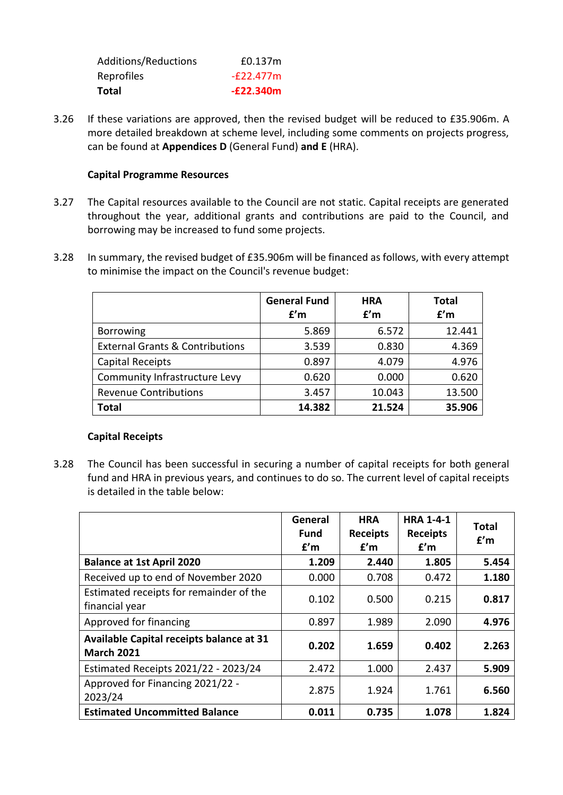| Total                | $-E22.340m$ |
|----------------------|-------------|
| Reprofiles           | $-F22.477m$ |
| Additions/Reductions | £0.137m     |

3.26 If these variations are approved, then the revised budget will be reduced to £35.906m. A more detailed breakdown at scheme level, including some comments on projects progress, can be found at **Appendices D** (General Fund) **and E** (HRA).

## **Capital Programme Resources**

- 3.27 The Capital resources available to the Council are not static. Capital receipts are generated throughout the year, additional grants and contributions are paid to the Council, and borrowing may be increased to fund some projects.
- 3.28 In summary, the revised budget of £35.906m will be financed as follows, with every attempt to minimise the impact on the Council's revenue budget:

|                                            | <b>General Fund</b><br>f'm | <b>HRA</b><br>f'm | <b>Total</b><br>f'm |
|--------------------------------------------|----------------------------|-------------------|---------------------|
| <b>Borrowing</b>                           | 5.869                      | 6.572             | 12.441              |
| <b>External Grants &amp; Contributions</b> | 3.539                      | 0.830             | 4.369               |
| <b>Capital Receipts</b>                    | 0.897                      | 4.079             | 4.976               |
| Community Infrastructure Levy              | 0.620                      | 0.000             | 0.620               |
| <b>Revenue Contributions</b>               | 3.457                      | 10.043            | 13.500              |
| <b>Total</b>                               | 14.382                     | 21.524            | 35.906              |

### **Capital Receipts**

3.28 The Council has been successful in securing a number of capital receipts for both general fund and HRA in previous years, and continues to do so. The current level of capital receipts is detailed in the table below:

|                                                               | General<br><b>Fund</b><br>f'm | <b>HRA</b><br><b>Receipts</b><br>f'm | <b>HRA 1-4-1</b><br><b>Receipts</b><br>f'm | <b>Total</b><br>f'm |
|---------------------------------------------------------------|-------------------------------|--------------------------------------|--------------------------------------------|---------------------|
| <b>Balance at 1st April 2020</b>                              | 1.209                         | 2.440                                | 1.805                                      | 5.454               |
| Received up to end of November 2020                           | 0.000                         | 0.708                                | 0.472                                      | 1.180               |
| Estimated receipts for remainder of the<br>financial year     | 0.102                         | 0.500                                | 0.215                                      | 0.817               |
| Approved for financing                                        | 0.897                         | 1.989                                | 2.090                                      | 4.976               |
| Available Capital receipts balance at 31<br><b>March 2021</b> | 0.202                         | 1.659                                | 0.402                                      | 2.263               |
| Estimated Receipts 2021/22 - 2023/24                          | 2.472                         | 1.000                                | 2.437                                      | 5.909               |
| Approved for Financing 2021/22 -<br>2023/24                   | 2.875                         | 1.924                                | 1.761                                      | 6.560               |
| <b>Estimated Uncommitted Balance</b>                          | 0.011                         | 0.735                                | 1.078                                      | 1.824               |